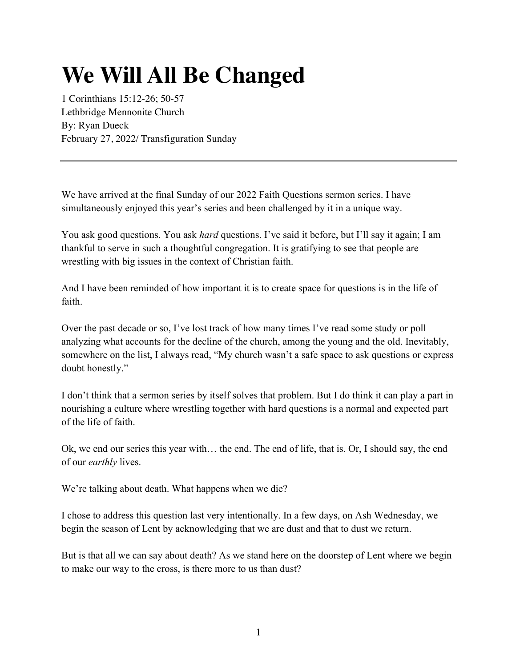## **We Will All Be Changed**

1 Corinthians 15:12-26; 50-57 Lethbridge Mennonite Church By: Ryan Dueck February 27, 2022/ Transfiguration Sunday

We have arrived at the final Sunday of our 2022 Faith Questions sermon series. I have simultaneously enjoyed this year's series and been challenged by it in a unique way.

You ask good questions. You ask *hard* questions. I've said it before, but I'll say it again; I am thankful to serve in such a thoughtful congregation. It is gratifying to see that people are wrestling with big issues in the context of Christian faith.

And I have been reminded of how important it is to create space for questions is in the life of faith.

Over the past decade or so, I've lost track of how many times I've read some study or poll analyzing what accounts for the decline of the church, among the young and the old. Inevitably, somewhere on the list, I always read, "My church wasn't a safe space to ask questions or express doubt honestly."

I don't think that a sermon series by itself solves that problem. But I do think it can play a part in nourishing a culture where wrestling together with hard questions is a normal and expected part of the life of faith.

Ok, we end our series this year with… the end. The end of life, that is. Or, I should say, the end of our *earthly* lives.

We're talking about death. What happens when we die?

I chose to address this question last very intentionally. In a few days, on Ash Wednesday, we begin the season of Lent by acknowledging that we are dust and that to dust we return.

But is that all we can say about death? As we stand here on the doorstep of Lent where we begin to make our way to the cross, is there more to us than dust?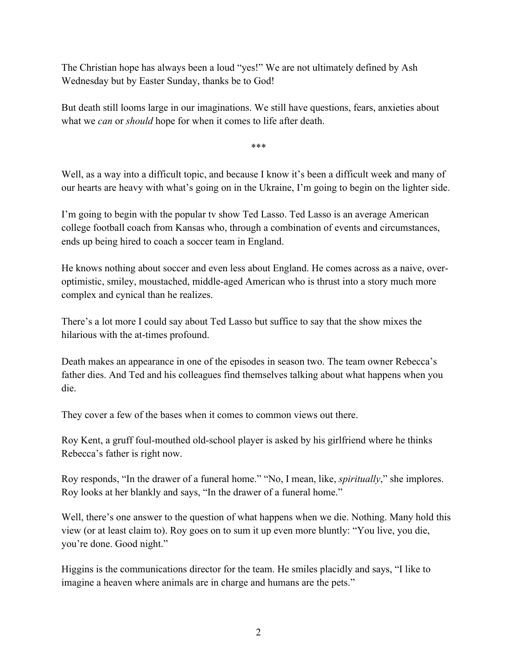The Christian hope has always been a loud "yes!" We are not ultimately defined by Ash Wednesday but by Easter Sunday, thanks be to God!

But death still looms large in our imaginations. We still have questions, fears, anxieties about what we *can* or *should* hope for when it comes to life after death.

\*\*\*

Well, as a way into a difficult topic, and because I know it's been a difficult week and many of our hearts are heavy with what's going on in the Ukraine, I'm going to begin on the lighter side.

I'm going to begin with the popular tv show Ted Lasso. Ted Lasso is an average American college football coach from Kansas who, through a combination of events and circumstances, ends up being hired to coach a soccer team in England.

He knows nothing about soccer and even less about England. He comes across as a naive, overoptimistic, smiley, moustached, middle-aged American who is thrust into a story much more complex and cynical than he realizes.

There's a lot more I could say about Ted Lasso but suffice to say that the show mixes the hilarious with the at-times profound.

Death makes an appearance in one of the episodes in season two. The team owner Rebecca's father dies. And Ted and his colleagues find themselves talking about what happens when you die.

They cover a few of the bases when it comes to common views out there.

Roy Kent, a gruff foul-mouthed old-school player is asked by his girlfriend where he thinks Rebecca's father is right now.

Roy responds, "In the drawer of a funeral home." "No, I mean, like, *spiritually*," she implores. Roy looks at her blankly and says, "In the drawer of a funeral home."

Well, there's one answer to the question of what happens when we die. Nothing. Many hold this view (or at least claim to). Roy goes on to sum it up even more bluntly: "You live, you die, you're done. Good night."

Higgins is the communications director for the team. He smiles placidly and says, "I like to imagine a heaven where animals are in charge and humans are the pets."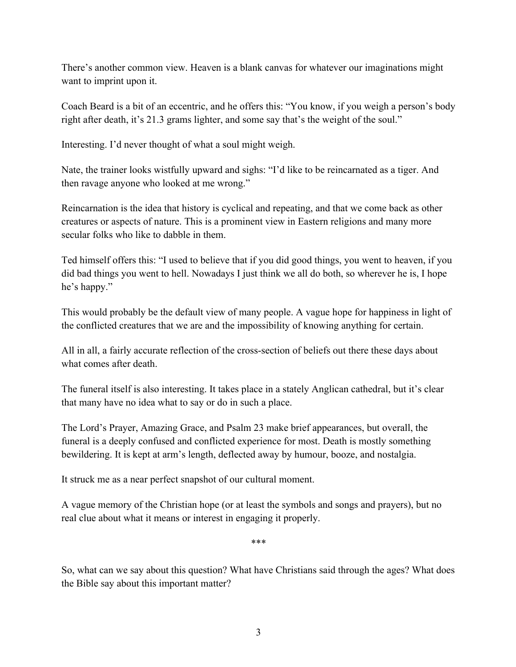There's another common view. Heaven is a blank canvas for whatever our imaginations might want to imprint upon it.

Coach Beard is a bit of an eccentric, and he offers this: "You know, if you weigh a person's body right after death, it's 21.3 grams lighter, and some say that's the weight of the soul."

Interesting. I'd never thought of what a soul might weigh.

Nate, the trainer looks wistfully upward and sighs: "I'd like to be reincarnated as a tiger. And then ravage anyone who looked at me wrong."

Reincarnation is the idea that history is cyclical and repeating, and that we come back as other creatures or aspects of nature. This is a prominent view in Eastern religions and many more secular folks who like to dabble in them.

Ted himself offers this: "I used to believe that if you did good things, you went to heaven, if you did bad things you went to hell. Nowadays I just think we all do both, so wherever he is, I hope he's happy."

This would probably be the default view of many people. A vague hope for happiness in light of the conflicted creatures that we are and the impossibility of knowing anything for certain.

All in all, a fairly accurate reflection of the cross-section of beliefs out there these days about what comes after death.

The funeral itself is also interesting. It takes place in a stately Anglican cathedral, but it's clear that many have no idea what to say or do in such a place.

The Lord's Prayer, Amazing Grace, and Psalm 23 make brief appearances, but overall, the funeral is a deeply confused and conflicted experience for most. Death is mostly something bewildering. It is kept at arm's length, deflected away by humour, booze, and nostalgia.

It struck me as a near perfect snapshot of our cultural moment.

A vague memory of the Christian hope (or at least the symbols and songs and prayers), but no real clue about what it means or interest in engaging it properly.

\*\*\*

So, what can we say about this question? What have Christians said through the ages? What does the Bible say about this important matter?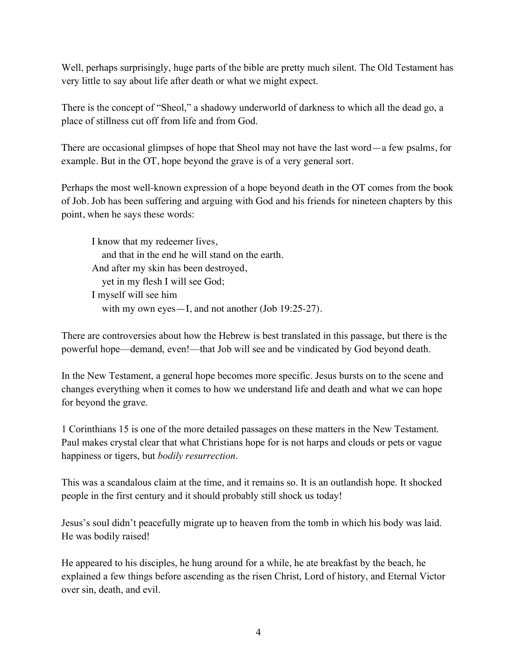Well, perhaps surprisingly, huge parts of the bible are pretty much silent. The Old Testament has very little to say about life after death or what we might expect.

There is the concept of "Sheol," a shadowy underworld of darkness to which all the dead go, a place of stillness cut off from life and from God.

There are occasional glimpses of hope that Sheol may not have the last word—a few psalms, for example. But in the OT, hope beyond the grave is of a very general sort.

Perhaps the most well-known expression of a hope beyond death in the OT comes from the book of Job. Job has been suffering and arguing with God and his friends for nineteen chapters by this point, when he says these words:

I know that my redeemer lives, and that in the end he will stand on the earth. And after my skin has been destroyed, yet in my flesh I will see God; I myself will see him with my own eyes—I, and not another (Job 19:25-27).

There are controversies about how the Hebrew is best translated in this passage, but there is the powerful hope—demand, even!—that Job will see and be vindicated by God beyond death.

In the New Testament, a general hope becomes more specific. Jesus bursts on to the scene and changes everything when it comes to how we understand life and death and what we can hope for beyond the grave.

1 Corinthians 15 is one of the more detailed passages on these matters in the New Testament. Paul makes crystal clear that what Christians hope for is not harps and clouds or pets or vague happiness or tigers, but *bodily resurrection*.

This was a scandalous claim at the time, and it remains so. It is an outlandish hope. It shocked people in the first century and it should probably still shock us today!

Jesus's soul didn't peacefully migrate up to heaven from the tomb in which his body was laid. He was bodily raised!

He appeared to his disciples, he hung around for a while, he ate breakfast by the beach, he explained a few things before ascending as the risen Christ, Lord of history, and Eternal Victor over sin, death, and evil.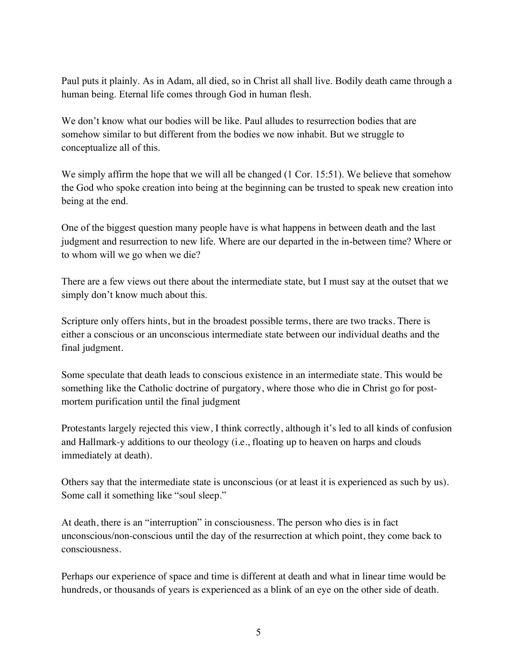Paul puts it plainly. As in Adam, all died, so in Christ all shall live. Bodily death came through a human being. Eternal life comes through God in human flesh.

We don't know what our bodies will be like. Paul alludes to resurrection bodies that are somehow similar to but different from the bodies we now inhabit. But we struggle to conceptualize all of this.

We simply affirm the hope that we will all be changed (1 Cor. 15:51). We believe that somehow the God who spoke creation into being at the beginning can be trusted to speak new creation into being at the end.

One of the biggest question many people have is what happens in between death and the last judgment and resurrection to new life. Where are our departed in the in-between time? Where or to whom will we go when we die?

There are a few views out there about the intermediate state, but I must say at the outset that we simply don't know much about this.

Scripture only offers hints, but in the broadest possible terms, there are two tracks. There is either a conscious or an unconscious intermediate state between our individual deaths and the final judgment.

Some speculate that death leads to conscious existence in an intermediate state. This would be something like the Catholic doctrine of purgatory, where those who die in Christ go for postmortem purification until the final judgment

Protestants largely rejected this view, I think correctly, although it's led to all kinds of confusion and Hallmark-y additions to our theology (i.e., floating up to heaven on harps and clouds immediately at death).

Others say that the intermediate state is unconscious (or at least it is experienced as such by us). Some call it something like "soul sleep."

At death, there is an "interruption" in consciousness. The person who dies is in fact unconscious/non-conscious until the day of the resurrection at which point, they come back to consciousness.

Perhaps our experience of space and time is different at death and what in linear time would be hundreds, or thousands of years is experienced as a blink of an eye on the other side of death.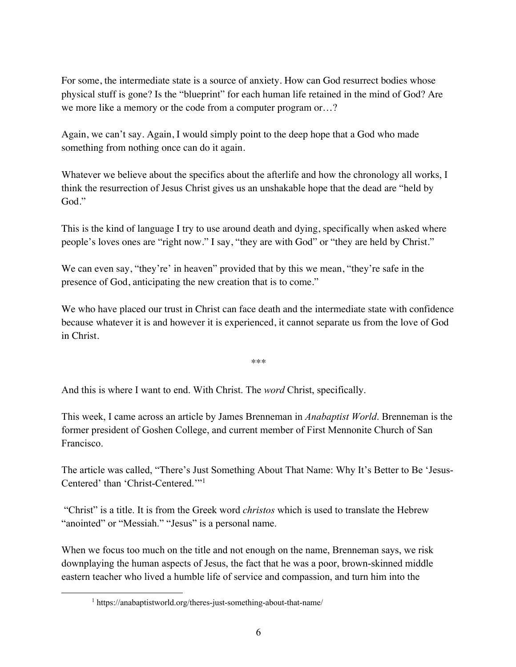For some, the intermediate state is a source of anxiety. How can God resurrect bodies whose physical stuff is gone? Is the "blueprint" for each human life retained in the mind of God? Are we more like a memory or the code from a computer program or…?

Again, we can't say. Again, I would simply point to the deep hope that a God who made something from nothing once can do it again.

Whatever we believe about the specifics about the afterlife and how the chronology all works, I think the resurrection of Jesus Christ gives us an unshakable hope that the dead are "held by God."

This is the kind of language I try to use around death and dying, specifically when asked where people's loves ones are "right now." I say, "they are with God" or "they are held by Christ."

We can even say, "they're' in heaven" provided that by this we mean, "they're safe in the presence of God, anticipating the new creation that is to come."

We who have placed our trust in Christ can face death and the intermediate state with confidence because whatever it is and however it is experienced, it cannot separate us from the love of God in Christ.

\*\*\*

And this is where I want to end. With Christ. The *word* Christ, specifically.

This week, I came across an article by James Brenneman in *Anabaptist World*. Brenneman is the former president of Goshen College, and current member of First Mennonite Church of San Francisco.

The article was called, "There's Just Something About That Name: Why It's Better to Be 'Jesus-Centered' than 'Christ-Centered.'"1

"Christ" is a title. It is from the Greek word *christos* which is used to translate the Hebrew "anointed" or "Messiah." "Jesus" is a personal name.

When we focus too much on the title and not enough on the name, Brenneman says, we risk downplaying the human aspects of Jesus, the fact that he was a poor, brown-skinned middle eastern teacher who lived a humble life of service and compassion, and turn him into the

<sup>1</sup> https://anabaptistworld.org/theres-just-something-about-that-name/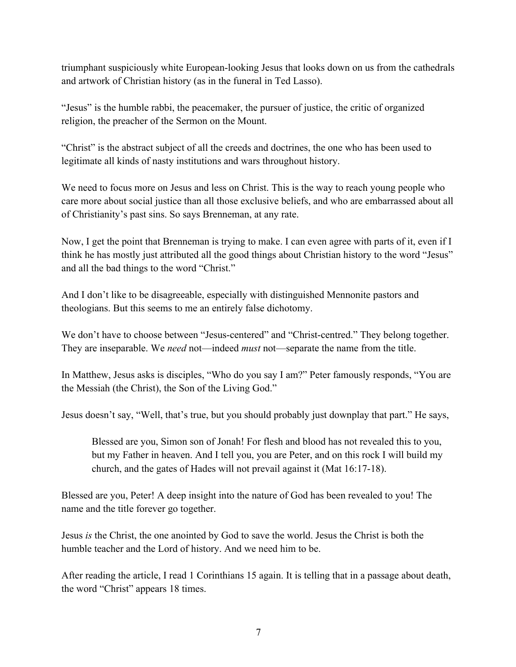triumphant suspiciously white European-looking Jesus that looks down on us from the cathedrals and artwork of Christian history (as in the funeral in Ted Lasso).

"Jesus" is the humble rabbi, the peacemaker, the pursuer of justice, the critic of organized religion, the preacher of the Sermon on the Mount.

"Christ" is the abstract subject of all the creeds and doctrines, the one who has been used to legitimate all kinds of nasty institutions and wars throughout history.

We need to focus more on Jesus and less on Christ. This is the way to reach young people who care more about social justice than all those exclusive beliefs, and who are embarrassed about all of Christianity's past sins. So says Brenneman, at any rate.

Now, I get the point that Brenneman is trying to make. I can even agree with parts of it, even if I think he has mostly just attributed all the good things about Christian history to the word "Jesus" and all the bad things to the word "Christ."

And I don't like to be disagreeable, especially with distinguished Mennonite pastors and theologians. But this seems to me an entirely false dichotomy.

We don't have to choose between "Jesus-centered" and "Christ-centred." They belong together. They are inseparable. We *need* not—indeed *must* not—separate the name from the title.

In Matthew, Jesus asks is disciples, "Who do you say I am?" Peter famously responds, "You are the Messiah (the Christ), the Son of the Living God."

Jesus doesn't say, "Well, that's true, but you should probably just downplay that part." He says,

Blessed are you, Simon son of Jonah! For flesh and blood has not revealed this to you, but my Father in heaven. And I tell you, you are Peter, and on this rock I will build my church, and the gates of Hades will not prevail against it (Mat 16:17-18).

Blessed are you, Peter! A deep insight into the nature of God has been revealed to you! The name and the title forever go together.

Jesus *is* the Christ, the one anointed by God to save the world. Jesus the Christ is both the humble teacher and the Lord of history. And we need him to be.

After reading the article, I read 1 Corinthians 15 again. It is telling that in a passage about death, the word "Christ" appears 18 times.